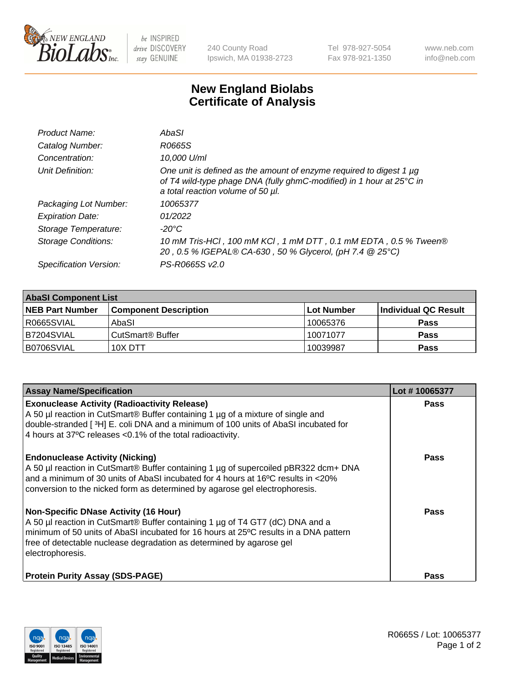

be INSPIRED drive DISCOVERY stay GENUINE

240 County Road Ipswich, MA 01938-2723 Tel 978-927-5054 Fax 978-921-1350 www.neb.com info@neb.com

## **New England Biolabs Certificate of Analysis**

| Product Name:           | AbaSI                                                                                                                                                                            |
|-------------------------|----------------------------------------------------------------------------------------------------------------------------------------------------------------------------------|
| Catalog Number:         | R0665S                                                                                                                                                                           |
| Concentration:          | 10.000 U/ml                                                                                                                                                                      |
| Unit Definition:        | One unit is defined as the amount of enzyme required to digest 1 µg<br>of T4 wild-type phage DNA (fully ghmC-modified) in 1 hour at 25°C in<br>a total reaction volume of 50 µl. |
| Packaging Lot Number:   | 10065377                                                                                                                                                                         |
| <b>Expiration Date:</b> | 01/2022                                                                                                                                                                          |
| Storage Temperature:    | $-20^{\circ}$ C                                                                                                                                                                  |
| Storage Conditions:     | 10 mM Tris-HCl, 100 mM KCl, 1 mM DTT, 0.1 mM EDTA, 0.5 % Tween®<br>20, 0.5 % IGEPAL® CA-630, 50 % Glycerol, (pH 7.4 @ 25°C)                                                      |
| Specification Version:  | PS-R0665S v2.0                                                                                                                                                                   |

| <b>AbaSI Component List</b> |                              |                   |                      |  |  |
|-----------------------------|------------------------------|-------------------|----------------------|--|--|
| <b>NEB Part Number</b>      | <b>Component Description</b> | <b>Lot Number</b> | Individual QC Result |  |  |
| R0665SVIAL                  | AbaSI                        | 10065376          | <b>Pass</b>          |  |  |
| B7204SVIAL                  | CutSmart® Buffer             | 10071077          | <b>Pass</b>          |  |  |
| B0706SVIAL                  | 10X DTT                      | 10039987          | <b>Pass</b>          |  |  |

| <b>Assay Name/Specification</b>                                                                                                                                                                                                                                                                                   | Lot #10065377 |
|-------------------------------------------------------------------------------------------------------------------------------------------------------------------------------------------------------------------------------------------------------------------------------------------------------------------|---------------|
| <b>Exonuclease Activity (Radioactivity Release)</b><br>A 50 µl reaction in CutSmart® Buffer containing 1 µg of a mixture of single and<br>double-stranded [3H] E. coli DNA and a minimum of 100 units of AbaSI incubated for<br>4 hours at 37°C releases <0.1% of the total radioactivity.                        | <b>Pass</b>   |
| <b>Endonuclease Activity (Nicking)</b><br>A 50 µl reaction in CutSmart® Buffer containing 1 µg of supercoiled pBR322 dcm+ DNA<br>and a minimum of 30 units of AbaSI incubated for 4 hours at 16°C results in <20%<br>conversion to the nicked form as determined by agarose gel electrophoresis.                  | <b>Pass</b>   |
| <b>Non-Specific DNase Activity (16 Hour)</b><br>A 50 µl reaction in CutSmart® Buffer containing 1 µg of T4 GT7 (dC) DNA and a<br>minimum of 50 units of AbaSI incubated for 16 hours at 25°C results in a DNA pattern<br>free of detectable nuclease degradation as determined by agarose gel<br>electrophoresis. | <b>Pass</b>   |
| <b>Protein Purity Assay (SDS-PAGE)</b>                                                                                                                                                                                                                                                                            | Pass          |